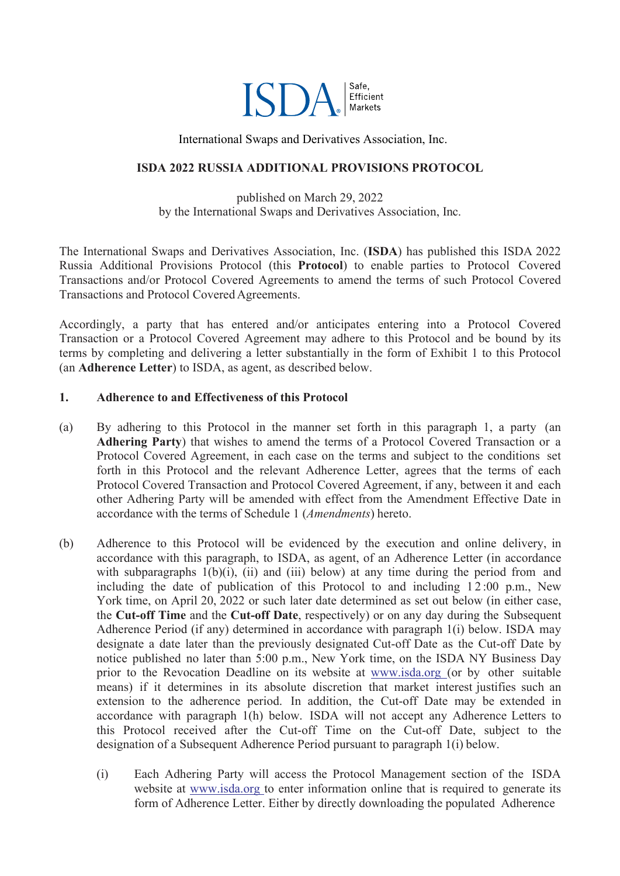

International Swaps and Derivatives Association, Inc.

#### **ISDA 2022 RUSSIA ADDITIONAL PROVISIONS PROTOCOL**

published on March 29, 2022 by the International Swaps and Derivatives Association, Inc.

The International Swaps and Derivatives Association, Inc. (**ISDA**) has published this ISDA 2022 Russia Additional Provisions Protocol (this **Protocol**) to enable parties to Protocol Covered Transactions and/or Protocol Covered Agreements to amend the terms of such Protocol Covered Transactions and Protocol Covered Agreements.

Accordingly, a party that has entered and/or anticipates entering into a Protocol Covered Transaction or a Protocol Covered Agreement may adhere to this Protocol and be bound by its terms by completing and delivering a letter substantially in the form of Exhibit 1 to this Protocol (an **Adherence Letter**) to ISDA, as agent, as described below.

#### **1. Adherence to and Effectiveness of this Protocol**

- (a) By adhering to this Protocol in the manner set forth in this paragraph 1, a party (an **Adhering Party**) that wishes to amend the terms of a Protocol Covered Transaction or a Protocol Covered Agreement, in each case on the terms and subject to the conditions set forth in this Protocol and the relevant Adherence Letter, agrees that the terms of each Protocol Covered Transaction and Protocol Covered Agreement, if any, between it and each other Adhering Party will be amended with effect from the Amendment Effective Date in accordance with the terms of Schedule 1 (*Amendments*) hereto.
- (b) Adherence to this Protocol will be evidenced by the execution and online delivery, in accordance with this paragraph, to ISDA, as agent, of an Adherence Letter (in accordance with subparagraphs  $1(b)(i)$ ,  $(ii)$  and  $(iii)$  below) at any time during the period from and including the date of publication of this Protocol to and including  $12:00$  p.m., New York time, on April 20, 2022 or such later date determined as set out below (in either case, the **Cut-off Time** and the **Cut-off Date**, respectively) or on any day during the Subsequent Adherence Period (if any) determined in accordance with paragraph 1(i) below. ISDA may designate a date later than the previously designated Cut-off Date as the Cut-off Date by notice published no later than 5:00 p.m., New York time, on the ISDA NY Business Day prior to the Revocation Deadline on its website at [www.isda.org](http://www.isda.org/) (or by other suitable means) if it determines in its absolute discretion that [market](http://www.isda.org/) interest justifies such an extension to the adherence period. In addition, the Cut-off Date may be extended in accordance with paragraph 1(h) below. ISDA will not accept any Adherence Letters to this Protocol received after the Cut-off Time on the Cut-off Date, subject to the designation of a Subsequent Adherence Period pursuant to paragraph 1(i) below.
	- (i) Each Adhering Party will access the Protocol Management section of the ISDA website at [www.isda.org](http://www.isda.org/) to enter information online that is required to generate its form of Adherence [Letter.](http://www.isda.org/) Either by directly downloading the populated Adherence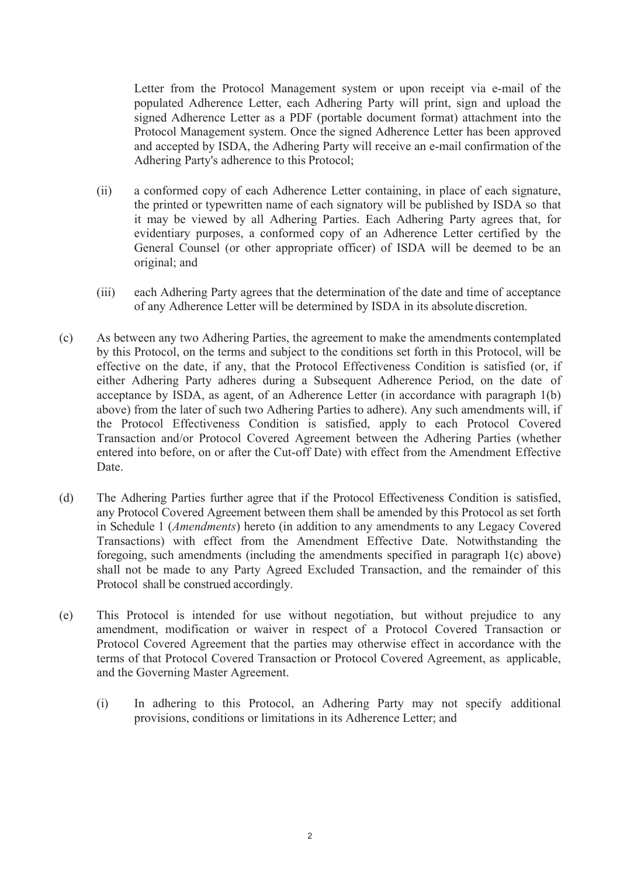Letter from the Protocol Management system or upon receipt via e-mail of the populated Adherence Letter, each Adhering Party will print, sign and upload the signed Adherence Letter as a PDF (portable document format) attachment into the Protocol Management system. Once the signed Adherence Letter has been approved and accepted by ISDA, the Adhering Party will receive an e-mail confirmation of the Adhering Party's adherence to this Protocol;

- (ii) a conformed copy of each Adherence Letter containing, in place of each signature, the printed or typewritten name of each signatory will be published by ISDA so that it may be viewed by all Adhering Parties. Each Adhering Party agrees that, for evidentiary purposes, a conformed copy of an Adherence Letter certified by the General Counsel (or other appropriate officer) of ISDA will be deemed to be an original; and
- (iii) each Adhering Party agrees that the determination of the date and time of acceptance of any Adherence Letter will be determined by ISDA in its absolute discretion.
- (c) As between any two Adhering Parties, the agreement to make the amendments contemplated by this Protocol, on the terms and subject to the conditions set forth in this Protocol, will be effective on the date, if any, that the Protocol Effectiveness Condition is satisfied (or, if either Adhering Party adheres during a Subsequent Adherence Period, on the date of acceptance by ISDA, as agent, of an Adherence Letter (in accordance with paragraph 1(b) above) from the later of such two Adhering Parties to adhere). Any such amendments will, if the Protocol Effectiveness Condition is satisfied, apply to each Protocol Covered Transaction and/or Protocol Covered Agreement between the Adhering Parties (whether entered into before, on or after the Cut-off Date) with effect from the Amendment Effective Date.
- (d) The Adhering Parties further agree that if the Protocol Effectiveness Condition is satisfied, any Protocol Covered Agreement between them shall be amended by this Protocol as set forth in Schedule 1 (*Amendments*) hereto (in addition to any amendments to any Legacy Covered Transactions) with effect from the Amendment Effective Date. Notwithstanding the foregoing, such amendments (including the amendments specified in paragraph 1(c) above) shall not be made to any Party Agreed Excluded Transaction, and the remainder of this Protocol shall be construed accordingly.
- (e) This Protocol is intended for use without negotiation, but without prejudice to any amendment, modification or waiver in respect of a Protocol Covered Transaction or Protocol Covered Agreement that the parties may otherwise effect in accordance with the terms of that Protocol Covered Transaction or Protocol Covered Agreement, as applicable, and the Governing Master Agreement.
	- (i) In adhering to this Protocol, an Adhering Party may not specify additional provisions, conditions or limitations in its Adherence Letter; and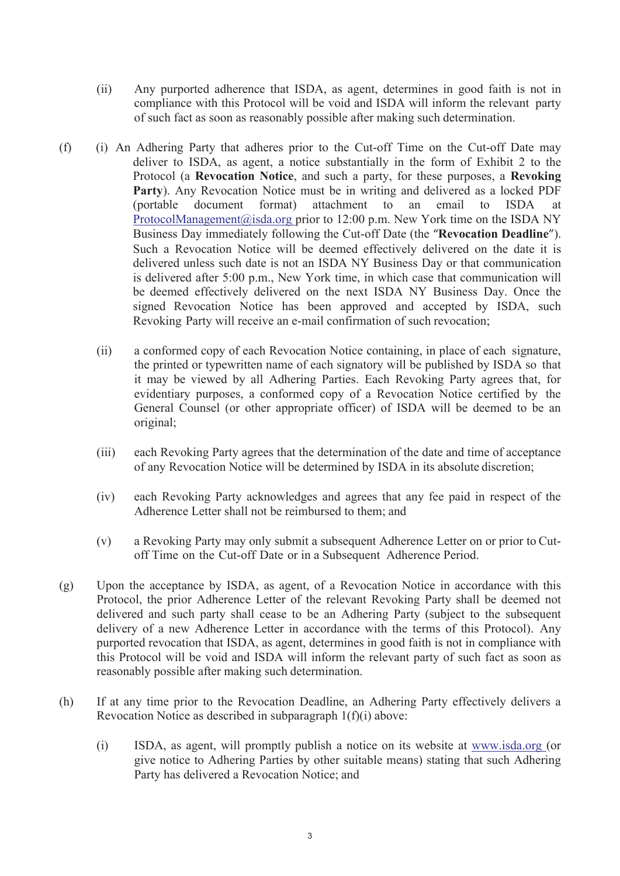- (ii) Any purported adherence that ISDA, as agent, determines in good faith is not in compliance with this Protocol will be void and ISDA will inform the relevant party of such fact as soon as reasonably possible after making such determination.
- (f) (i) An Adhering Party that adheres prior to the Cut-off Time on the Cut-off Date may deliver to ISDA, as agent, a notice substantially in the form of Exhibit 2 to the Protocol (a **Revocation Notice**, and such a party, for these purposes, a **Revoking Party**). Any Revocation Notice must be in writing and delivered as a locked PDF (portable document format) attachment to an email to ISDA at [ProtocolManagement@isda.org p](mailto:ProtocolManagement@isda.org)rior to 12:00 p.m. New York time on the ISDA NY Business Day immediately following the Cut-off Date (the "**Revocation Deadline**"). Such [a Revocation Notice will be](mailto:ProtocolManagement@isda.org) deemed effectively delivered on the date it is delivered unless such date is not an ISDA NY Business Day or that communication is delivered after 5:00 p.m., New York time, in which case that communication will be deemed effectively delivered on the next ISDA NY Business Day. Once the signed Revocation Notice has been approved and accepted by ISDA, such Revoking Party will receive an e-mail confirmation of such revocation;
	- (ii) a conformed copy of each Revocation Notice containing, in place of each signature, the printed or typewritten name of each signatory will be published by ISDA so that it may be viewed by all Adhering Parties. Each Revoking Party agrees that, for evidentiary purposes, a conformed copy of a Revocation Notice certified by the General Counsel (or other appropriate officer) of ISDA will be deemed to be an original;
	- (iii) each Revoking Party agrees that the determination of the date and time of acceptance of any Revocation Notice will be determined by ISDA in its absolute discretion;
	- (iv) each Revoking Party acknowledges and agrees that any fee paid in respect of the Adherence Letter shall not be reimbursed to them; and
	- (v) a Revoking Party may only submit a subsequent Adherence Letter on or prior to Cutoff Time on the Cut-off Date or in a Subsequent Adherence Period.
- (g) Upon the acceptance by ISDA, as agent, of a Revocation Notice in accordance with this Protocol, the prior Adherence Letter of the relevant Revoking Party shall be deemed not delivered and such party shall cease to be an Adhering Party (subject to the subsequent delivery of a new Adherence Letter in accordance with the terms of this Protocol). Any purported revocation that ISDA, as agent, determines in good faith is not in compliance with this Protocol will be void and ISDA will inform the relevant party of such fact as soon as reasonably possible after making such determination.
- (h) If at any time prior to the Revocation Deadline, an Adhering Party effectively delivers a Revocation Notice as described in subparagraph 1(f)(i) above:
	- (i) ISDA, as agent, will promptly publish a notice on its website at [www.isda.org](http://www.isda.org/) (or give notice to Adhering Parties by other suitable means) stating that such Adhering Party has delivered a Revocation Notice; and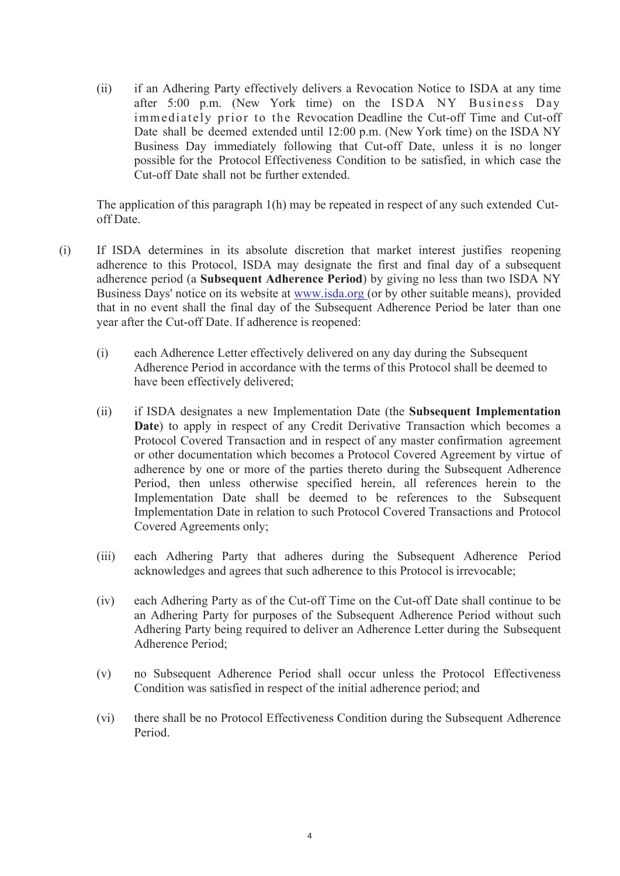(ii) if an Adhering Party effectively delivers a Revocation Notice to ISDA at any time after 5:00 p.m. (New York time) on the ISDA NY Business Day immediately prior to the Revocation Deadline the Cut-off Time and Cut-off Date shall be deemed extended until 12:00 p.m. (New York time) on the ISDA NY Business Day immediately following that Cut-off Date, unless it is no longer possible for the Protocol Effectiveness Condition to be satisfied, in which case the Cut-off Date shall not be further extended.

The application of this paragraph 1(h) may be repeated in respect of any such extended Cutoff Date.

- (i) If ISDA determines in its absolute discretion that market interest justifies reopening adherence to this Protocol, ISDA may designate the first and final day of a subsequent adherence period (a **Subsequent Adherence Period**) by giving no less than two ISDA NY Business Days' notice on its website at [www.isda.org \(](http://www.isda.org/)or by other suitable means), provided that in no event shall the final day [of the](http://www.isda.org/) Subsequent Adherence Period be later than one year after the Cut-off Date. If adherence is reopened:
	- (i) each Adherence Letter effectively delivered on any day during the Subsequent Adherence Period in accordance with the terms of this Protocol shall be deemed to have been effectively delivered;
	- (ii) if ISDA designates a new Implementation Date (the **Subsequent Implementation Date**) to apply in respect of any Credit Derivative Transaction which becomes a Protocol Covered Transaction and in respect of any master confirmation agreement or other documentation which becomes a Protocol Covered Agreement by virtue of adherence by one or more of the parties thereto during the Subsequent Adherence Period, then unless otherwise specified herein, all references herein to the Implementation Date shall be deemed to be references to the Subsequent Implementation Date in relation to such Protocol Covered Transactions and Protocol Covered Agreements only;
	- (iii) each Adhering Party that adheres during the Subsequent Adherence Period acknowledges and agrees that such adherence to this Protocol is irrevocable;
	- (iv) each Adhering Party as of the Cut-off Time on the Cut-off Date shall continue to be an Adhering Party for purposes of the Subsequent Adherence Period without such Adhering Party being required to deliver an Adherence Letter during the Subsequent Adherence Period;
	- (v) no Subsequent Adherence Period shall occur unless the Protocol Effectiveness Condition was satisfied in respect of the initial adherence period; and
	- (vi) there shall be no Protocol Effectiveness Condition during the Subsequent Adherence Period.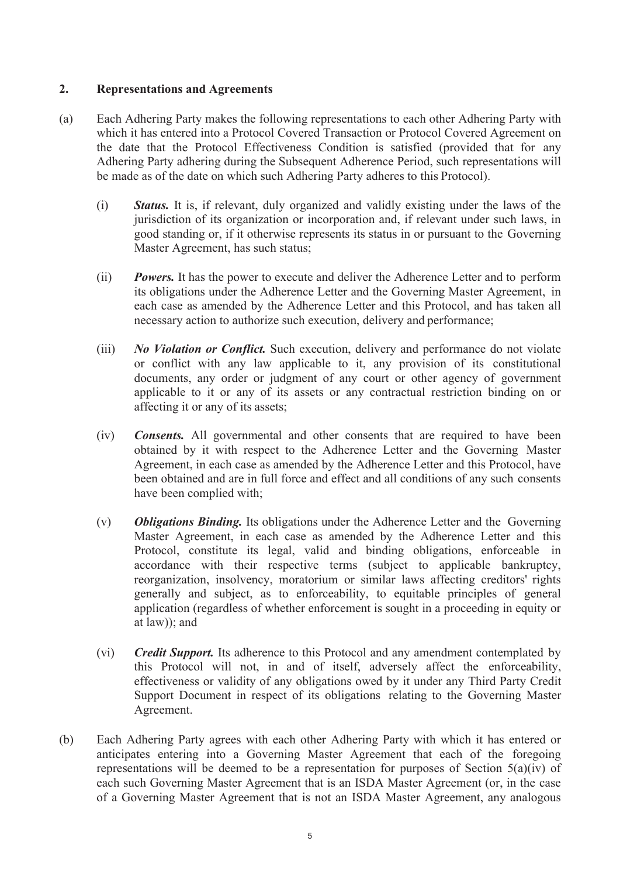## **2. Representations and Agreements**

- (a) Each Adhering Party makes the following representations to each other Adhering Party with which it has entered into a Protocol Covered Transaction or Protocol Covered Agreement on the date that the Protocol Effectiveness Condition is satisfied (provided that for any Adhering Party adhering during the Subsequent Adherence Period, such representations will be made as of the date on which such Adhering Party adheres to this Protocol).
	- (i) *Status.* It is, if relevant, duly organized and validly existing under the laws of the jurisdiction of its organization or incorporation and, if relevant under such laws, in good standing or, if it otherwise represents its status in or pursuant to the Governing Master Agreement, has such status;
	- (ii) *Powers.* It has the power to execute and deliver the Adherence Letter and to perform its obligations under the Adherence Letter and the Governing Master Agreement, in each case as amended by the Adherence Letter and this Protocol, and has taken all necessary action to authorize such execution, delivery and performance;
	- (iii) *No Violation or Conflict.* Such execution, delivery and performance do not violate or conflict with any law applicable to it, any provision of its constitutional documents, any order or judgment of any court or other agency of government applicable to it or any of its assets or any contractual restriction binding on or affecting it or any of its assets;
	- (iv) *Consents.* All governmental and other consents that are required to have been obtained by it with respect to the Adherence Letter and the Governing Master Agreement, in each case as amended by the Adherence Letter and this Protocol, have been obtained and are in full force and effect and all conditions of any such consents have been complied with;
	- (v) *Obligations Binding.* Its obligations under the Adherence Letter and the Governing Master Agreement, in each case as amended by the Adherence Letter and this Protocol, constitute its legal, valid and binding obligations, enforceable in accordance with their respective terms (subject to applicable bankruptcy, reorganization, insolvency, moratorium or similar laws affecting creditors' rights generally and subject, as to enforceability, to equitable principles of general application (regardless of whether enforcement is sought in a proceeding in equity or at law)); and
	- (vi) *Credit Support.* Its adherence to this Protocol and any amendment contemplated by this Protocol will not, in and of itself, adversely affect the enforceability, effectiveness or validity of any obligations owed by it under any Third Party Credit Support Document in respect of its obligations relating to the Governing Master Agreement.
- (b) Each Adhering Party agrees with each other Adhering Party with which it has entered or anticipates entering into a Governing Master Agreement that each of the foregoing representations will be deemed to be a representation for purposes of Section  $5(a)(iv)$  of each such Governing Master Agreement that is an ISDA Master Agreement (or, in the case of a Governing Master Agreement that is not an ISDA Master Agreement, any analogous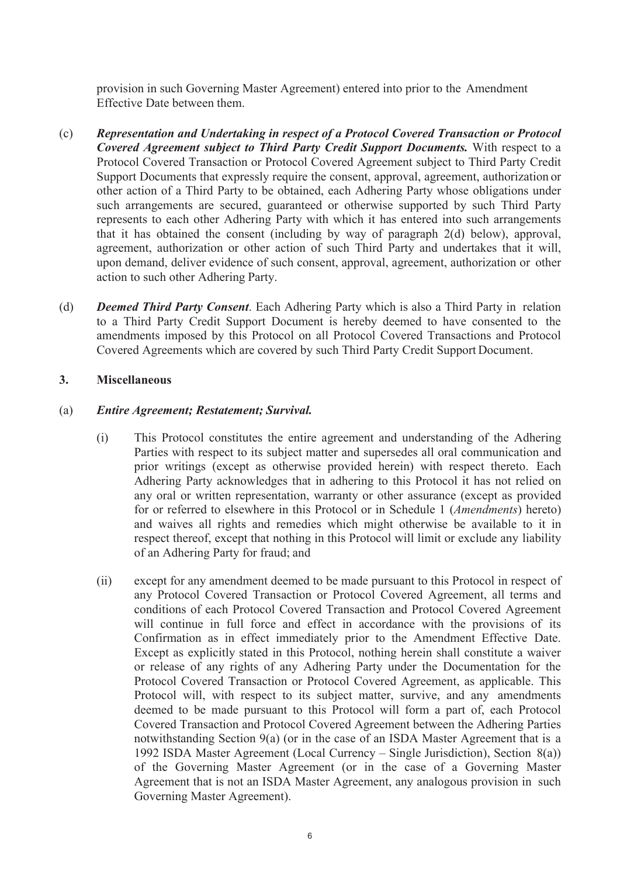provision in such Governing Master Agreement) entered into prior to the Amendment Effective Date between them.

- (c) *Representation and Undertaking in respect of a Protocol Covered Transaction or Protocol Covered Agreement subject to Third Party Credit Support Documents.* With respect to a Protocol Covered Transaction or Protocol Covered Agreement subject to Third Party Credit Support Documents that expressly require the consent, approval, agreement, authorization or other action of a Third Party to be obtained, each Adhering Party whose obligations under such arrangements are secured, guaranteed or otherwise supported by such Third Party represents to each other Adhering Party with which it has entered into such arrangements that it has obtained the consent (including by way of paragraph 2(d) below), approval, agreement, authorization or other action of such Third Party and undertakes that it will, upon demand, deliver evidence of such consent, approval, agreement, authorization or other action to such other Adhering Party.
- (d) *Deemed Third Party Consent*. Each Adhering Party which is also a Third Party in relation to a Third Party Credit Support Document is hereby deemed to have consented to the amendments imposed by this Protocol on all Protocol Covered Transactions and Protocol Covered Agreements which are covered by such Third Party Credit Support Document.

#### **3. Miscellaneous**

#### (a) *Entire Agreement; Restatement; Survival.*

- (i) This Protocol constitutes the entire agreement and understanding of the Adhering Parties with respect to its subject matter and supersedes all oral communication and prior writings (except as otherwise provided herein) with respect thereto. Each Adhering Party acknowledges that in adhering to this Protocol it has not relied on any oral or written representation, warranty or other assurance (except as provided for or referred to elsewhere in this Protocol or in Schedule 1 (*Amendments*) hereto) and waives all rights and remedies which might otherwise be available to it in respect thereof, except that nothing in this Protocol will limit or exclude any liability of an Adhering Party for fraud; and
- (ii) except for any amendment deemed to be made pursuant to this Protocol in respect of any Protocol Covered Transaction or Protocol Covered Agreement, all terms and conditions of each Protocol Covered Transaction and Protocol Covered Agreement will continue in full force and effect in accordance with the provisions of its Confirmation as in effect immediately prior to the Amendment Effective Date. Except as explicitly stated in this Protocol, nothing herein shall constitute a waiver or release of any rights of any Adhering Party under the Documentation for the Protocol Covered Transaction or Protocol Covered Agreement, as applicable. This Protocol will, with respect to its subject matter, survive, and any amendments deemed to be made pursuant to this Protocol will form a part of, each Protocol Covered Transaction and Protocol Covered Agreement between the Adhering Parties notwithstanding Section 9(a) (or in the case of an ISDA Master Agreement that is a 1992 ISDA Master Agreement (Local Currency – Single Jurisdiction), Section 8(a)) of the Governing Master Agreement (or in the case of a Governing Master Agreement that is not an ISDA Master Agreement, any analogous provision in such Governing Master Agreement).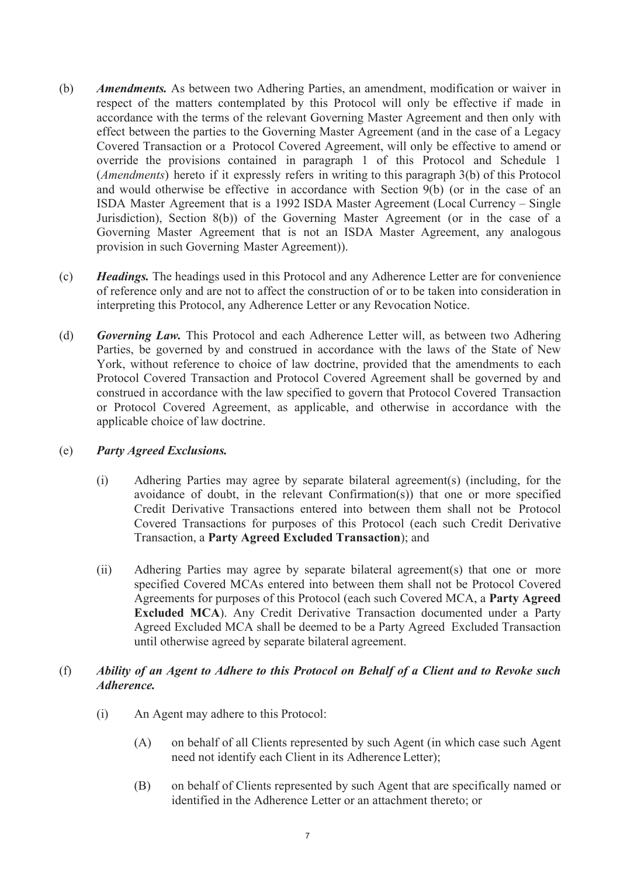- (b) *Amendments.* As between two Adhering Parties, an amendment, modification or waiver in respect of the matters contemplated by this Protocol will only be effective if made in accordance with the terms of the relevant Governing Master Agreement and then only with effect between the parties to the Governing Master Agreement (and in the case of a Legacy Covered Transaction or a Protocol Covered Agreement, will only be effective to amend or override the provisions contained in paragraph 1 of this Protocol and Schedule 1 (*Amendments*) hereto if it expressly refers in writing to this paragraph 3(b) of this Protocol and would otherwise be effective in accordance with Section 9(b) (or in the case of an ISDA Master Agreement that is a 1992 ISDA Master Agreement (Local Currency – Single Jurisdiction), Section 8(b)) of the Governing Master Agreement (or in the case of a Governing Master Agreement that is not an ISDA Master Agreement, any analogous provision in such Governing Master Agreement)).
- (c) *Headings.* The headings used in this Protocol and any Adherence Letter are for convenience of reference only and are not to affect the construction of or to be taken into consideration in interpreting this Protocol, any Adherence Letter or any Revocation Notice.
- (d) *Governing Law.* This Protocol and each Adherence Letter will, as between two Adhering Parties, be governed by and construed in accordance with the laws of the State of New York, without reference to choice of law doctrine, provided that the amendments to each Protocol Covered Transaction and Protocol Covered Agreement shall be governed by and construed in accordance with the law specified to govern that Protocol Covered Transaction or Protocol Covered Agreement, as applicable, and otherwise in accordance with the applicable choice of law doctrine.

## (e) *Party Agreed Exclusions.*

- (i) Adhering Parties may agree by separate bilateral agreement(s) (including, for the avoidance of doubt, in the relevant Confirmation(s)) that one or more specified Credit Derivative Transactions entered into between them shall not be Protocol Covered Transactions for purposes of this Protocol (each such Credit Derivative Transaction, a **Party Agreed Excluded Transaction**); and
- (ii) Adhering Parties may agree by separate bilateral agreement(s) that one or more specified Covered MCAs entered into between them shall not be Protocol Covered Agreements for purposes of this Protocol (each such Covered MCA, a **Party Agreed Excluded MCA**). Any Credit Derivative Transaction documented under a Party Agreed Excluded MCA shall be deemed to be a Party Agreed Excluded Transaction until otherwise agreed by separate bilateral agreement.

## (f) *Ability of an Agent to Adhere to this Protocol on Behalf of a Client and to Revoke such Adherence.*

- (i) An Agent may adhere to this Protocol:
	- (A) on behalf of all Clients represented by such Agent (in which case such Agent need not identify each Client in its Adherence Letter);
	- (B) on behalf of Clients represented by such Agent that are specifically named or identified in the Adherence Letter or an attachment thereto; or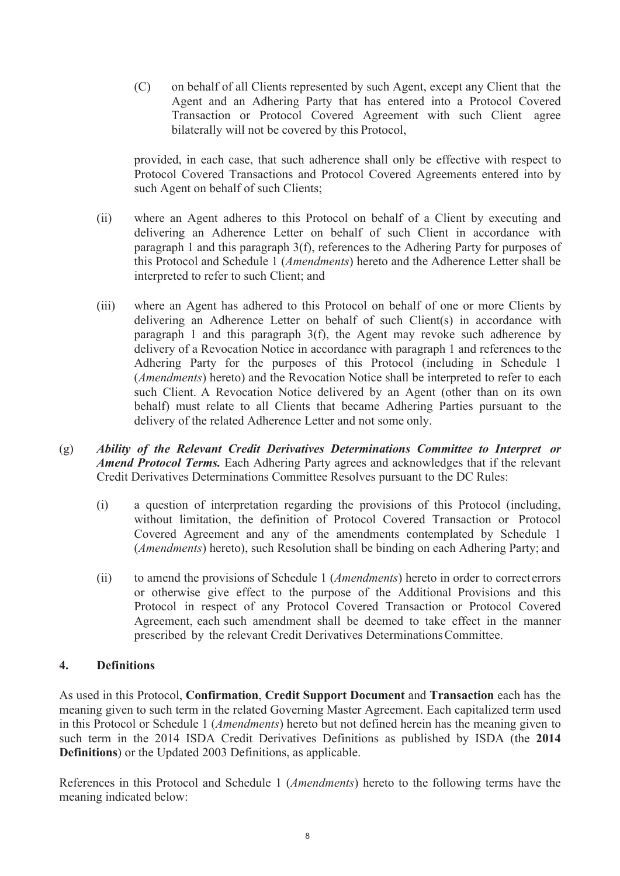(C) on behalf of all Clients represented by such Agent, except any Client that the Agent and an Adhering Party that has entered into a Protocol Covered Transaction or Protocol Covered Agreement with such Client agree bilaterally will not be covered by this Protocol,

provided, in each case, that such adherence shall only be effective with respect to Protocol Covered Transactions and Protocol Covered Agreements entered into by such Agent on behalf of such Clients;

- (ii) where an Agent adheres to this Protocol on behalf of a Client by executing and delivering an Adherence Letter on behalf of such Client in accordance with paragraph 1 and this paragraph 3(f), references to the Adhering Party for purposes of this Protocol and Schedule 1 (*Amendments*) hereto and the Adherence Letter shall be interpreted to refer to such Client; and
- (iii) where an Agent has adhered to this Protocol on behalf of one or more Clients by delivering an Adherence Letter on behalf of such Client(s) in accordance with paragraph 1 and this paragraph 3(f), the Agent may revoke such adherence by delivery of a Revocation Notice in accordance with paragraph 1 and references to the Adhering Party for the purposes of this Protocol (including in Schedule 1 (*Amendments*) hereto) and the Revocation Notice shall be interpreted to refer to each such Client. A Revocation Notice delivered by an Agent (other than on its own behalf) must relate to all Clients that became Adhering Parties pursuant to the delivery of the related Adherence Letter and not some only.
- (g) *Ability of the Relevant Credit Derivatives Determinations Committee to Interpret or Amend Protocol Terms.* Each Adhering Party agrees and acknowledges that if the relevant Credit Derivatives Determinations Committee Resolves pursuant to the DC Rules:
	- (i) a question of interpretation regarding the provisions of this Protocol (including, without limitation, the definition of Protocol Covered Transaction or Protocol Covered Agreement and any of the amendments contemplated by Schedule 1 (*Amendments*) hereto), such Resolution shall be binding on each Adhering Party; and
	- (ii) to amend the provisions of Schedule 1 (*Amendments*) hereto in order to correcterrors or otherwise give effect to the purpose of the Additional Provisions and this Protocol in respect of any Protocol Covered Transaction or Protocol Covered Agreement, each such amendment shall be deemed to take effect in the manner prescribed by the relevant Credit Derivatives DeterminationsCommittee.

## **4. Definitions**

As used in this Protocol, **Confirmation**, **Credit Support Document** and **Transaction** each has the meaning given to such term in the related Governing Master Agreement. Each capitalized term used in this Protocol or Schedule 1 (*Amendments*) hereto but not defined herein has the meaning given to such term in the 2014 ISDA Credit Derivatives Definitions as published by ISDA (the **2014 Definitions**) or the Updated 2003 Definitions, as applicable.

References in this Protocol and Schedule 1 (*Amendments*) hereto to the following terms have the meaning indicated below: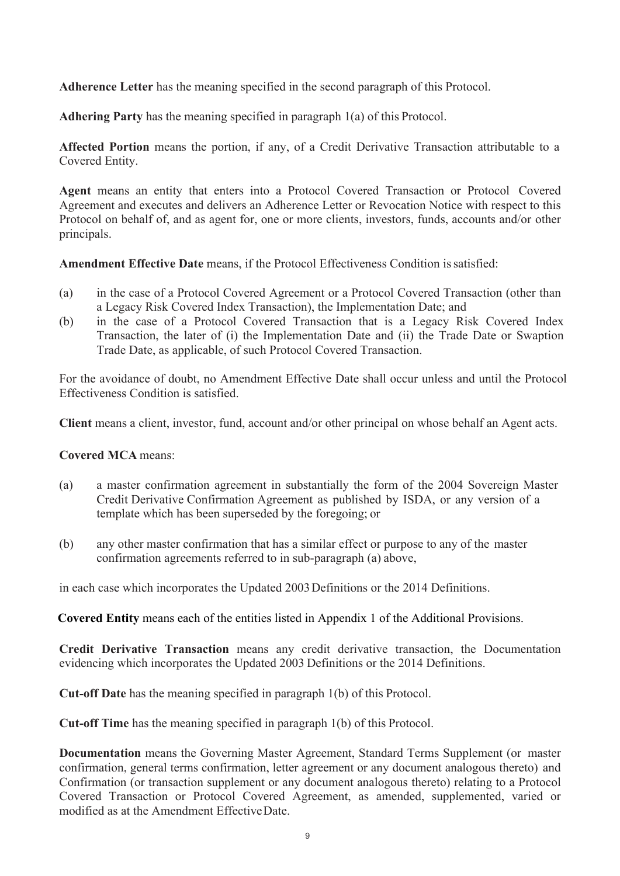**Adherence Letter** has the meaning specified in the second paragraph of this Protocol.

**Adhering Party** has the meaning specified in paragraph 1(a) of this Protocol.

**Affected Portion** means the portion, if any, of a Credit Derivative Transaction attributable to a Covered Entity.

**Agent** means an entity that enters into a Protocol Covered Transaction or Protocol Covered Agreement and executes and delivers an Adherence Letter or Revocation Notice with respect to this Protocol on behalf of, and as agent for, one or more clients, investors, funds, accounts and/or other principals.

**Amendment Effective Date** means, if the Protocol Effectiveness Condition issatisfied:

- (a) in the case of a Protocol Covered Agreement or a Protocol Covered Transaction (other than a Legacy Risk Covered Index Transaction), the Implementation Date; and
- (b) in the case of a Protocol Covered Transaction that is a Legacy Risk Covered Index Transaction, the later of (i) the Implementation Date and (ii) the Trade Date or Swaption Trade Date, as applicable, of such Protocol Covered Transaction.

For the avoidance of doubt, no Amendment Effective Date shall occur unless and until the Protocol Effectiveness Condition is satisfied.

**Client** means a client, investor, fund, account and/or other principal on whose behalf an Agent acts.

#### **Covered MCA** means:

- (a) a master confirmation agreement in substantially the form of the 2004 Sovereign Master Credit Derivative Confirmation Agreement as published by ISDA, or any version of a template which has been superseded by the foregoing; or
- (b) any other master confirmation that has a similar effect or purpose to any of the master confirmation agreements referred to in sub-paragraph (a) above,

in each case which incorporates the Updated 2003Definitions or the 2014 Definitions.

**Covered Entity** means each of the entities listed in Appendix 1 of the Additional Provisions.

**Credit Derivative Transaction** means any credit derivative transaction, the Documentation evidencing which incorporates the Updated 2003 Definitions or the 2014 Definitions.

**Cut-off Date** has the meaning specified in paragraph 1(b) of this Protocol.

**Cut-off Time** has the meaning specified in paragraph 1(b) of this Protocol.

**Documentation** means the Governing Master Agreement, Standard Terms Supplement (or master confirmation, general terms confirmation, letter agreement or any document analogous thereto) and Confirmation (or transaction supplement or any document analogous thereto) relating to a Protocol Covered Transaction or Protocol Covered Agreement, as amended, supplemented, varied or modified as at the Amendment EffectiveDate.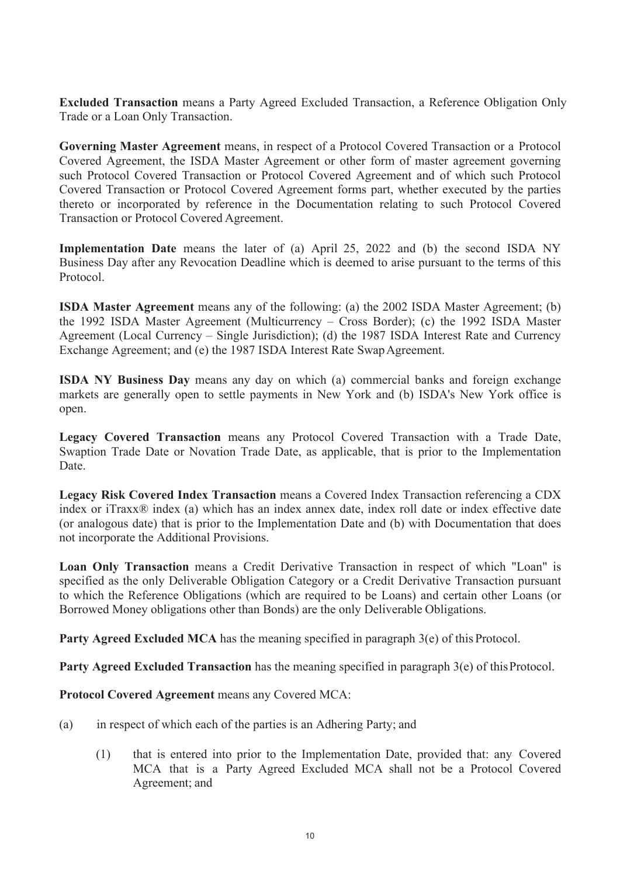**Excluded Transaction** means a Party Agreed Excluded Transaction, a Reference Obligation Only Trade or a Loan Only Transaction.

**Governing Master Agreement** means, in respect of a Protocol Covered Transaction or a Protocol Covered Agreement, the ISDA Master Agreement or other form of master agreement governing such Protocol Covered Transaction or Protocol Covered Agreement and of which such Protocol Covered Transaction or Protocol Covered Agreement forms part, whether executed by the parties thereto or incorporated by reference in the Documentation relating to such Protocol Covered Transaction or Protocol Covered Agreement.

**Implementation Date** means the later of (a) April 25, 2022 and (b) the second ISDA NY Business Day after any Revocation Deadline which is deemed to arise pursuant to the terms of this Protocol.

**ISDA Master Agreement** means any of the following: (a) the 2002 ISDA Master Agreement; (b) the 1992 ISDA Master Agreement (Multicurrency – Cross Border); (c) the 1992 ISDA Master Agreement (Local Currency – Single Jurisdiction); (d) the 1987 ISDA Interest Rate and Currency Exchange Agreement; and (e) the 1987 ISDA Interest Rate Swap Agreement.

**ISDA NY Business Day** means any day on which (a) commercial banks and foreign exchange markets are generally open to settle payments in New York and (b) ISDA's New York office is open.

**Legacy Covered Transaction** means any Protocol Covered Transaction with a Trade Date, Swaption Trade Date or Novation Trade Date, as applicable, that is prior to the Implementation Date.

**Legacy Risk Covered Index Transaction** means a Covered Index Transaction referencing a CDX index or iTraxx® index (a) which has an index annex date, index roll date or index effective date (or analogous date) that is prior to the Implementation Date and (b) with Documentation that does not incorporate the Additional Provisions.

**Loan Only Transaction** means a Credit Derivative Transaction in respect of which "Loan" is specified as the only Deliverable Obligation Category or a Credit Derivative Transaction pursuant to which the Reference Obligations (which are required to be Loans) and certain other Loans (or Borrowed Money obligations other than Bonds) are the only Deliverable Obligations.

**Party Agreed Excluded MCA** has the meaning specified in paragraph 3(e) of this Protocol.

**Party Agreed Excluded Transaction** has the meaning specified in paragraph 3(e) of this Protocol.

**Protocol Covered Agreement** means any Covered MCA:

- (a) in respect of which each of the parties is an Adhering Party; and
	- (1) that is entered into prior to the Implementation Date, provided that: any Covered MCA that is a Party Agreed Excluded MCA shall not be a Protocol Covered Agreement; and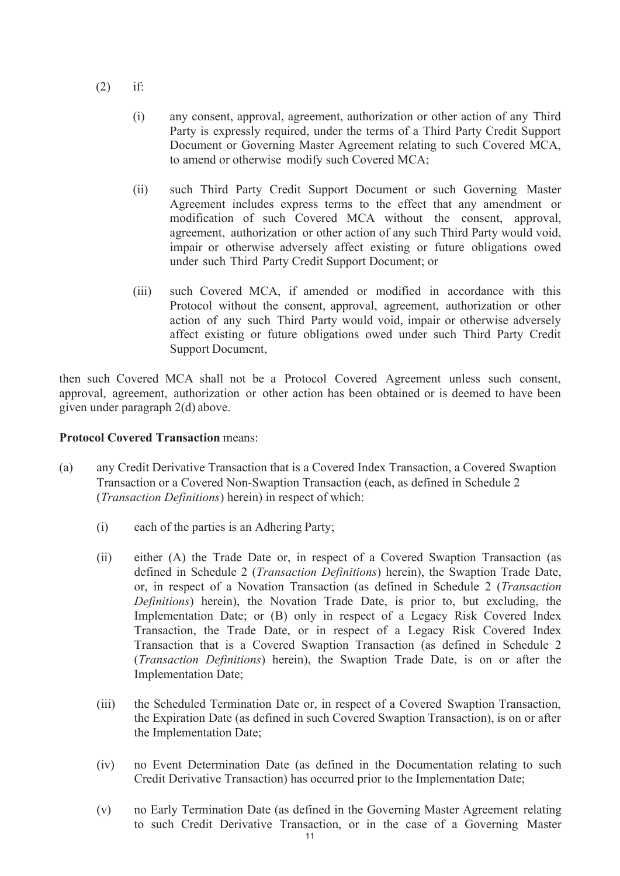- $(2)$  if:
	- (i) any consent, approval, agreement, authorization or other action of any Third Party is expressly required, under the terms of a Third Party Credit Support Document or Governing Master Agreement relating to such Covered MCA, to amend or otherwise modify such Covered MCA;
	- (ii) such Third Party Credit Support Document or such Governing Master Agreement includes express terms to the effect that any amendment or modification of such Covered MCA without the consent, approval, agreement, authorization or other action of any such Third Party would void, impair or otherwise adversely affect existing or future obligations owed under such Third Party Credit Support Document; or
	- (iii) such Covered MCA, if amended or modified in accordance with this Protocol without the consent, approval, agreement, authorization or other action of any such Third Party would void, impair or otherwise adversely affect existing or future obligations owed under such Third Party Credit Support Document,

then such Covered MCA shall not be a Protocol Covered Agreement unless such consent, approval, agreement, authorization or other action has been obtained or is deemed to have been given under paragraph 2(d) above.

#### **Protocol Covered Transaction** means:

- (a) any Credit Derivative Transaction that is a Covered Index Transaction, a Covered Swaption Transaction or a Covered Non-Swaption Transaction (each, as defined in Schedule 2 (*Transaction Definitions*) herein) in respect of which:
	- (i) each of the parties is an Adhering Party;
	- (ii) either (A) the Trade Date or, in respect of a Covered Swaption Transaction (as defined in Schedule 2 (*Transaction Definitions*) herein), the Swaption Trade Date, or, in respect of a Novation Transaction (as defined in Schedule 2 (*Transaction Definitions*) herein), the Novation Trade Date, is prior to, but excluding, the Implementation Date; or (B) only in respect of a Legacy Risk Covered Index Transaction, the Trade Date, or in respect of a Legacy Risk Covered Index Transaction that is a Covered Swaption Transaction (as defined in Schedule 2 (*Transaction Definitions*) herein), the Swaption Trade Date, is on or after the Implementation Date;
	- (iii) the Scheduled Termination Date or, in respect of a Covered Swaption Transaction, the Expiration Date (as defined in such Covered Swaption Transaction), is on or after the Implementation Date;
	- (iv) no Event Determination Date (as defined in the Documentation relating to such Credit Derivative Transaction) has occurred prior to the Implementation Date;
	- (v) no Early Termination Date (as defined in the Governing Master Agreement relating to such Credit Derivative Transaction, or in the case of a Governing Master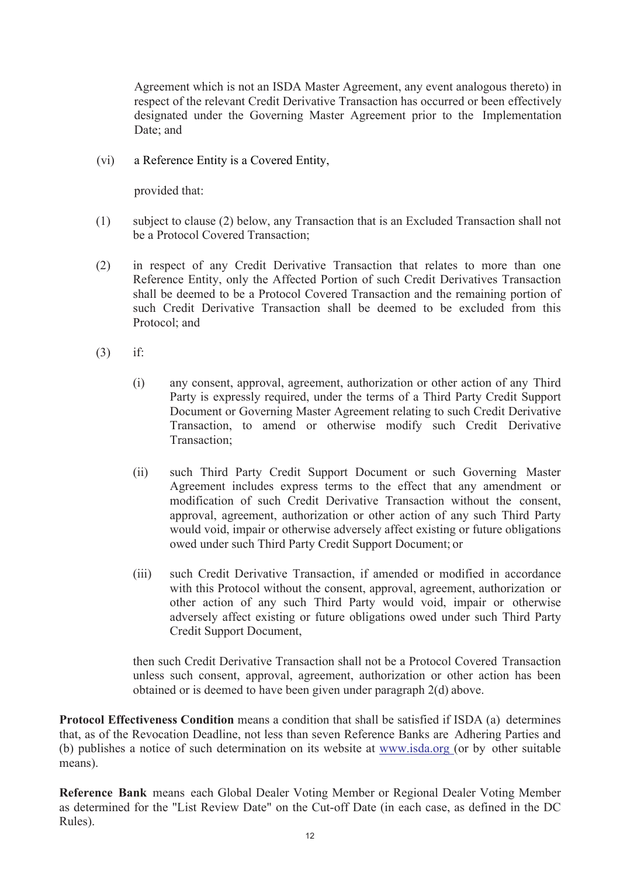Agreement which is not an ISDA Master Agreement, any event analogous thereto) in respect of the relevant Credit Derivative Transaction has occurred or been effectively designated under the Governing Master Agreement prior to the Implementation Date; and

(vi) a Reference Entity is a Covered Entity,

provided that:

- (1) subject to clause (2) below, any Transaction that is an Excluded Transaction shall not be a Protocol Covered Transaction;
- (2) in respect of any Credit Derivative Transaction that relates to more than one Reference Entity, only the Affected Portion of such Credit Derivatives Transaction shall be deemed to be a Protocol Covered Transaction and the remaining portion of such Credit Derivative Transaction shall be deemed to be excluded from this Protocol; and
- (3) if:
	- (i) any consent, approval, agreement, authorization or other action of any Third Party is expressly required, under the terms of a Third Party Credit Support Document or Governing Master Agreement relating to such Credit Derivative Transaction, to amend or otherwise modify such Credit Derivative Transaction;
	- (ii) such Third Party Credit Support Document or such Governing Master Agreement includes express terms to the effect that any amendment or modification of such Credit Derivative Transaction without the consent, approval, agreement, authorization or other action of any such Third Party would void, impair or otherwise adversely affect existing or future obligations owed under such Third Party Credit Support Document; or
	- (iii) such Credit Derivative Transaction, if amended or modified in accordance with this Protocol without the consent, approval, agreement, authorization or other action of any such Third Party would void, impair or otherwise adversely affect existing or future obligations owed under such Third Party Credit Support Document,

then such Credit Derivative Transaction shall not be a Protocol Covered Transaction unless such consent, approval, agreement, authorization or other action has been obtained or is deemed to have been given under paragraph 2(d) above.

**Protocol Effectiveness Condition** means a condition that shall be satisfied if ISDA (a) determines that, as of the Revocation Deadline, not less than seven Reference Banks are Adhering Parties and (b) publishes a notice of such determination on its website at [www.isda.org \(](http://www.isda.org/)or by other suitable means).

**Reference Bank** means each Global Dealer Voting Member or Regional Dealer Voting Member as determined for the "List Review Date" on the Cut-off Date (in each case, as defined in the DC Rules).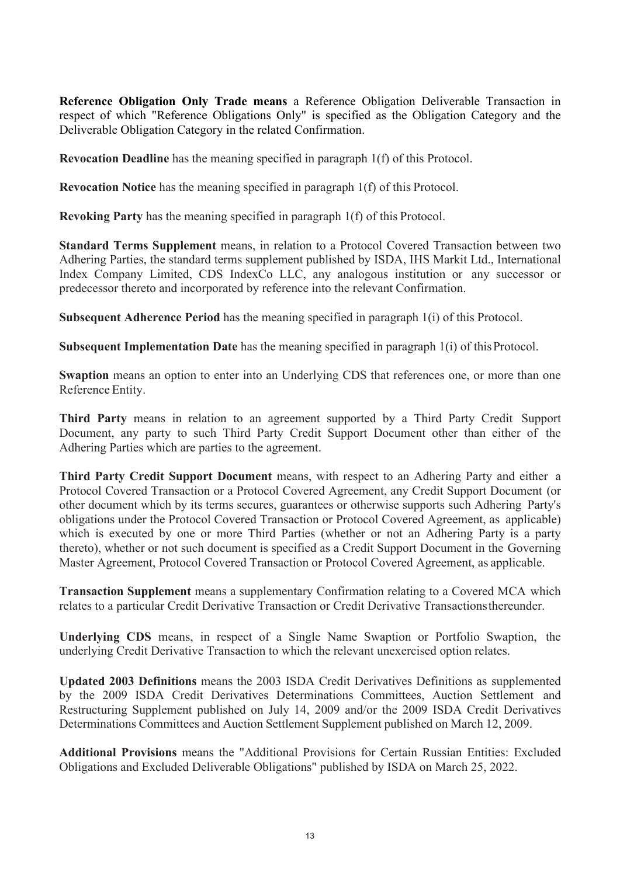**Reference Obligation Only Trade means** a Reference Obligation Deliverable Transaction in respect of which "Reference Obligations Only" is specified as the Obligation Category and the Deliverable Obligation Category in the related Confirmation.

**Revocation Deadline** has the meaning specified in paragraph 1(f) of this Protocol.

**Revocation Notice** has the meaning specified in paragraph 1(f) of this Protocol.

**Revoking Party** has the meaning specified in paragraph 1(f) of this Protocol.

**Standard Terms Supplement** means, in relation to a Protocol Covered Transaction between two Adhering Parties, the standard terms supplement published by ISDA, IHS Markit Ltd., International Index Company Limited, CDS IndexCo LLC, any analogous institution or any successor or predecessor thereto and incorporated by reference into the relevant Confirmation.

**Subsequent Adherence Period** has the meaning specified in paragraph 1(i) of this Protocol.

**Subsequent Implementation Date** has the meaning specified in paragraph 1(i) of thisProtocol.

**Swaption** means an option to enter into an Underlying CDS that references one, or more than one Reference Entity.

**Third Party** means in relation to an agreement supported by a Third Party Credit Support Document, any party to such Third Party Credit Support Document other than either of the Adhering Parties which are parties to the agreement.

**Third Party Credit Support Document** means, with respect to an Adhering Party and either a Protocol Covered Transaction or a Protocol Covered Agreement, any Credit Support Document (or other document which by its terms secures, guarantees or otherwise supports such Adhering Party's obligations under the Protocol Covered Transaction or Protocol Covered Agreement, as applicable) which is executed by one or more Third Parties (whether or not an Adhering Party is a party thereto), whether or not such document is specified as a Credit Support Document in the Governing Master Agreement, Protocol Covered Transaction or Protocol Covered Agreement, as applicable.

**Transaction Supplement** means a supplementary Confirmation relating to a Covered MCA which relates to a particular Credit Derivative Transaction or Credit Derivative Transactionsthereunder.

**Underlying CDS** means, in respect of a Single Name Swaption or Portfolio Swaption, the underlying Credit Derivative Transaction to which the relevant unexercised option relates.

**Updated 2003 Definitions** means the 2003 ISDA Credit Derivatives Definitions as supplemented by the 2009 ISDA Credit Derivatives Determinations Committees, Auction Settlement and Restructuring Supplement published on July 14, 2009 and/or the 2009 ISDA Credit Derivatives Determinations Committees and Auction Settlement Supplement published on March 12, 2009.

**Additional Provisions** means the "Additional Provisions for Certain Russian Entities: Excluded Obligations and Excluded Deliverable Obligations" published by ISDA on March 25, 2022.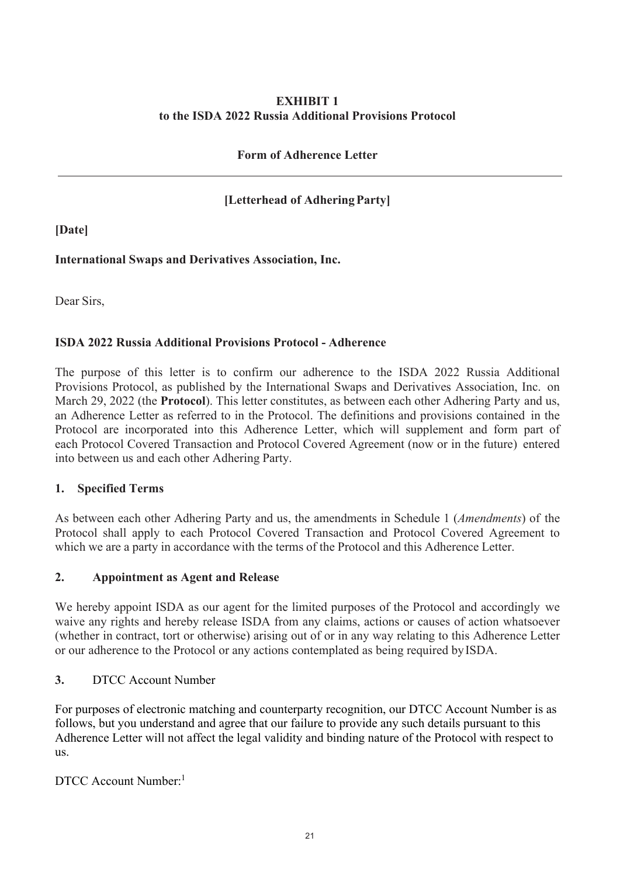## **EXHIBIT 1 to the ISDA 2022 Russia Additional Provisions Protocol**

## **Form of Adherence Letter**

## **[Letterhead of AdheringParty]**

**[Date]**

## **International Swaps and Derivatives Association, Inc.**

Dear Sirs,

## **ISDA 2022 Russia Additional Provisions Protocol - Adherence**

The purpose of this letter is to confirm our adherence to the ISDA 2022 Russia Additional Provisions Protocol, as published by the International Swaps and Derivatives Association, Inc. on March 29, 2022 (the **Protocol**). This letter constitutes, as between each other Adhering Party and us, an Adherence Letter as referred to in the Protocol. The definitions and provisions contained in the Protocol are incorporated into this Adherence Letter, which will supplement and form part of each Protocol Covered Transaction and Protocol Covered Agreement (now or in the future) entered into between us and each other Adhering Party.

## **1. Specified Terms**

As between each other Adhering Party and us, the amendments in Schedule 1 (*Amendments*) of the Protocol shall apply to each Protocol Covered Transaction and Protocol Covered Agreement to which we are a party in accordance with the terms of the Protocol and this Adherence Letter.

## **2. Appointment as Agent and Release**

We hereby appoint ISDA as our agent for the limited purposes of the Protocol and accordingly we waive any rights and hereby release ISDA from any claims, actions or causes of action whatsoever (whether in contract, tort or otherwise) arising out of or in any way relating to this Adherence Letter or our adherence to the Protocol or any actions contemplated as being required byISDA.

**3.** DTCC Account Number

For purposes of electronic matching and counterparty recognition, our DTCC Account Number is as follows, but you understand and agree that our failure to provide any such details pursuant to this Adherence Letter will not affect the legal validity and binding nature of the Protocol with respect to us.

DTCC Account Number:1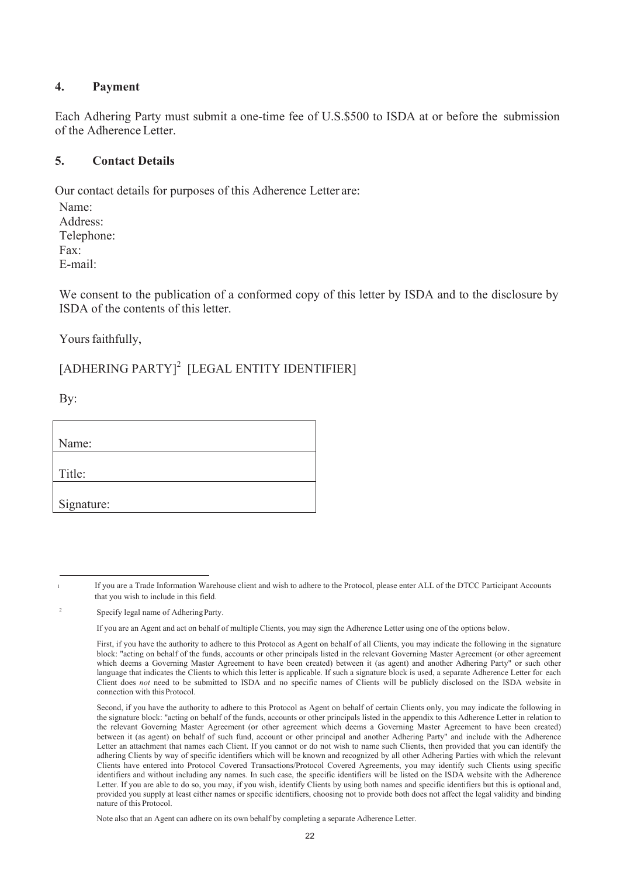#### **4. Payment**

Each Adhering Party must submit a one-time fee of U.S.\$500 to ISDA at or before the submission of the Adherence Letter.

### **5. Contact Details**

Our contact details for purposes of this Adherence Letter are:

Name: Address: Telephone: Fax: E-mail:

We consent to the publication of a conformed copy of this letter by ISDA and to the disclosure by ISDA of the contents of this letter.

Yours faithfully,

# [ADHERING PARTY]<sup>2</sup> [LEGAL ENTITY IDENTIFIER]

By:

| Name:      |
|------------|
| Title:     |
| Signature: |

<sup>1</sup> If you are a Trade Information Warehouse client and wish to adhere to the Protocol, please enter ALL of the DTCC Participant Accounts that you wish to include in this field.

<sup>2</sup> Specify legal name of Adhering Party.

If you are an Agent and act on behalf of multiple Clients, you may sign the Adherence Letter using one of the options below.

First, if you have the authority to adhere to this Protocol as Agent on behalf of all Clients, you may indicate the following in the signature block: "acting on behalf of the funds, accounts or other principals listed in the relevant Governing Master Agreement (or other agreement which deems a Governing Master Agreement to have been created) between it (as agent) and another Adhering Party" or such other language that indicates the Clients to which this letter is applicable. If such a signature block is used, a separate Adherence Letter for each Client does *not* need to be submitted to ISDA and no specific names of Clients will be publicly disclosed on the ISDA website in connection with this Protocol.

Second, if you have the authority to adhere to this Protocol as Agent on behalf of certain Clients only, you may indicate the following in the signature block: "acting on behalf of the funds, accounts or other principals listed in the appendix to this Adherence Letter in relation to the relevant Governing Master Agreement (or other agreement which deems a Governing Master Agreement to have been created) between it (as agent) on behalf of such fund, account or other principal and another Adhering Party" and include with the Adherence Letter an attachment that names each Client. If you cannot or do not wish to name such Clients, then provided that you can identify the adhering Clients by way of specific identifiers which will be known and recognized by all other Adhering Parties with which the relevant Clients have entered into Protocol Covered Transactions/Protocol Covered Agreements, you may identify such Clients using specific identifiers and without including any names. In such case, the specific identifiers will be listed on the ISDA website with the Adherence Letter. If you are able to do so, you may, if you wish, identify Clients by using both names and specific identifiers but this is optional and, provided you supply at least either names or specific identifiers, choosing not to provide both does not affect the legal validity and binding nature of this Protocol.

Note also that an Agent can adhere on its own behalf by completing a separate Adherence Letter.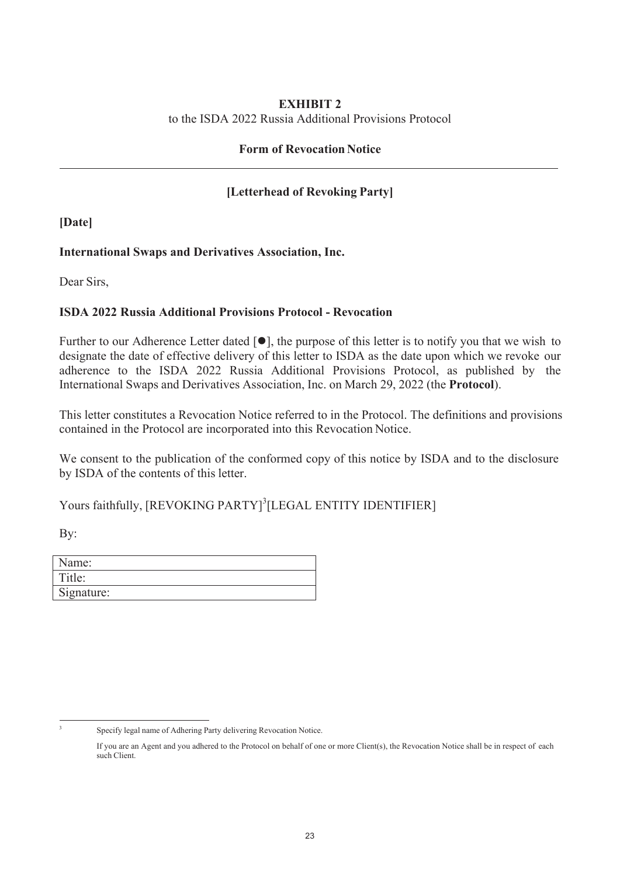#### **EXHIBIT 2**

to the ISDA 2022 Russia Additional Provisions Protocol

## **Form of Revocation Notice**

## **[Letterhead of Revoking Party]**

**[Date]**

## **International Swaps and Derivatives Association, Inc.**

Dear Sirs,

## **ISDA 2022 Russia Additional Provisions Protocol - Revocation**

Further to our Adherence Letter dated  $[\bullet]$ , the purpose of this letter is to notify you that we wish to designate the date of effective delivery of this letter to ISDA as the date upon which we revoke our adherence to the ISDA 2022 Russia Additional Provisions Protocol, as published by the International Swaps and Derivatives Association, Inc. on March 29, 2022 (the **Protocol**).

This letter constitutes a Revocation Notice referred to in the Protocol. The definitions and provisions contained in the Protocol are incorporated into this Revocation Notice.

We consent to the publication of the conformed copy of this notice by ISDA and to the disclosure by ISDA of the contents of this letter.

Yours faithfully, [REVOKING PARTY]<sup>3</sup>[LEGAL ENTITY IDENTIFIER]

By:

| Name:      |  |
|------------|--|
| Title:     |  |
| Signature: |  |

<sup>3</sup> Specify legal name of Adhering Party delivering Revocation Notice.

If you are an Agent and you adhered to the Protocol on behalf of one or more Client(s), the Revocation Notice shall be in respect of each such Client.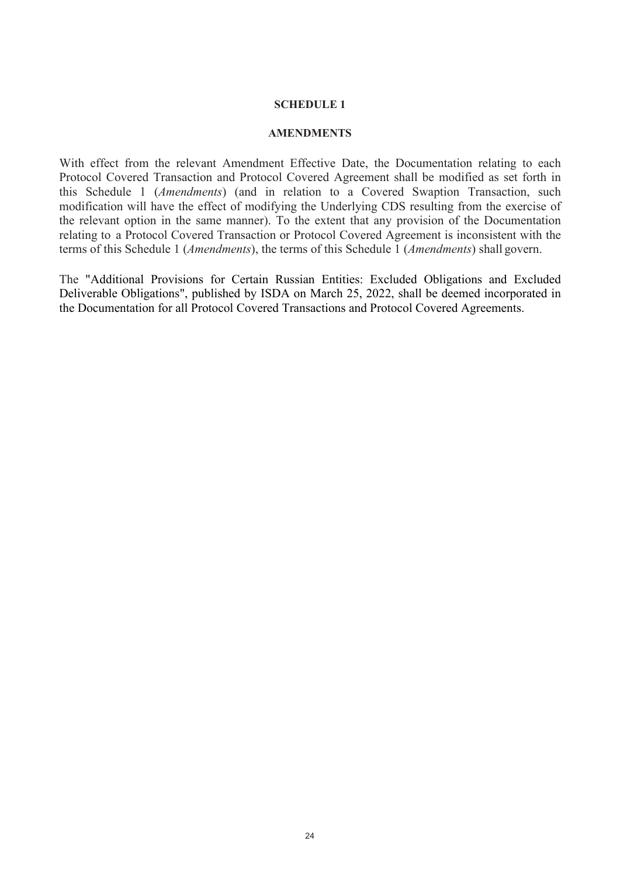#### **SCHEDULE 1**

#### **AMENDMENTS**

With effect from the relevant Amendment Effective Date, the Documentation relating to each Protocol Covered Transaction and Protocol Covered Agreement shall be modified as set forth in this Schedule 1 (*Amendments*) (and in relation to a Covered Swaption Transaction, such modification will have the effect of modifying the Underlying CDS resulting from the exercise of the relevant option in the same manner). To the extent that any provision of the Documentation relating to a Protocol Covered Transaction or Protocol Covered Agreement is inconsistent with the terms of this Schedule 1 (*Amendments*), the terms of this Schedule 1 (*Amendments*) shall govern.

The "Additional Provisions for Certain Russian Entities: Excluded Obligations and Excluded Deliverable Obligations", published by ISDA on March 25, 2022, shall be deemed incorporated in the Documentation for all Protocol Covered Transactions and Protocol Covered Agreements.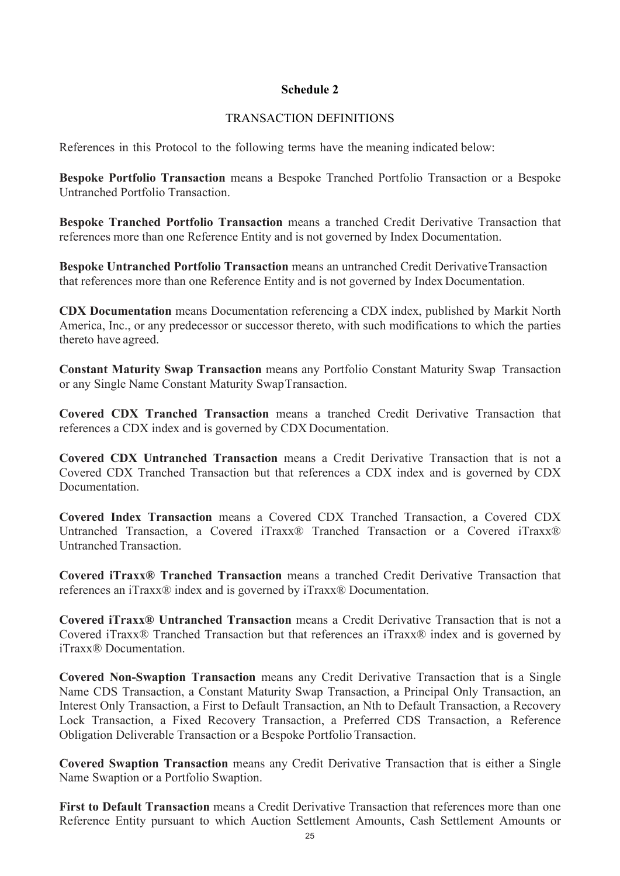## **Schedule 2**

### TRANSACTION DEFINITIONS

References in this Protocol to the following terms have the meaning indicated below:

**Bespoke Portfolio Transaction** means a Bespoke Tranched Portfolio Transaction or a Bespoke Untranched Portfolio Transaction.

**Bespoke Tranched Portfolio Transaction** means a tranched Credit Derivative Transaction that references more than one Reference Entity and is not governed by Index Documentation.

**Bespoke Untranched Portfolio Transaction** means an untranched Credit Derivative Transaction that references more than one Reference Entity and is not governed by Index Documentation.

**CDX Documentation** means Documentation referencing a CDX index, published by Markit North America, Inc., or any predecessor or successor thereto, with such modifications to which the parties thereto have agreed.

**Constant Maturity Swap Transaction** means any Portfolio Constant Maturity Swap Transaction or any Single Name Constant Maturity SwapTransaction.

**Covered CDX Tranched Transaction** means a tranched Credit Derivative Transaction that references a CDX index and is governed by CDX Documentation.

**Covered CDX Untranched Transaction** means a Credit Derivative Transaction that is not a Covered CDX Tranched Transaction but that references a CDX index and is governed by CDX Documentation.

**Covered Index Transaction** means a Covered CDX Tranched Transaction, a Covered CDX Untranched Transaction, a Covered iTraxx® Tranched Transaction or a Covered iTraxx® Untranched Transaction.

**Covered iTraxx® Tranched Transaction** means a tranched Credit Derivative Transaction that references an iTraxx® index and is governed by iTraxx® Documentation.

**Covered iTraxx® Untranched Transaction** means a Credit Derivative Transaction that is not a Covered iTraxx® Tranched Transaction but that references an iTraxx® index and is governed by iTraxx® Documentation.

**Covered Non-Swaption Transaction** means any Credit Derivative Transaction that is a Single Name CDS Transaction, a Constant Maturity Swap Transaction, a Principal Only Transaction, an Interest Only Transaction, a First to Default Transaction, an Nth to Default Transaction, a Recovery Lock Transaction, a Fixed Recovery Transaction, a Preferred CDS Transaction, a Reference Obligation Deliverable Transaction or a Bespoke Portfolio Transaction.

**Covered Swaption Transaction** means any Credit Derivative Transaction that is either a Single Name Swaption or a Portfolio Swaption.

**First to Default Transaction** means a Credit Derivative Transaction that references more than one Reference Entity pursuant to which Auction Settlement Amounts, Cash Settlement Amounts or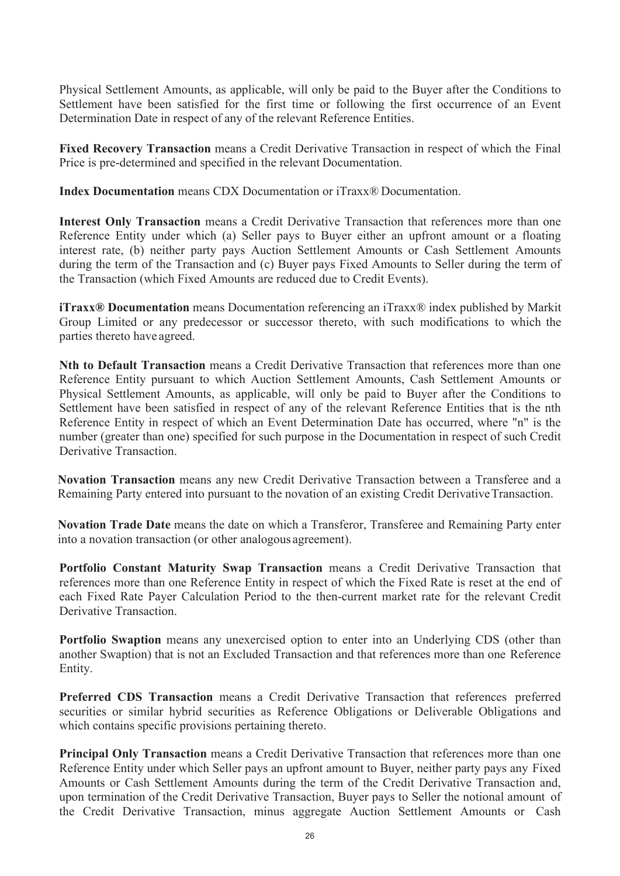Physical Settlement Amounts, as applicable, will only be paid to the Buyer after the Conditions to Settlement have been satisfied for the first time or following the first occurrence of an Event Determination Date in respect of any of the relevant Reference Entities.

**Fixed Recovery Transaction** means a Credit Derivative Transaction in respect of which the Final Price is pre-determined and specified in the relevant Documentation.

**Index Documentation** means CDX Documentation or iTraxx® Documentation.

**Interest Only Transaction** means a Credit Derivative Transaction that references more than one Reference Entity under which (a) Seller pays to Buyer either an upfront amount or a floating interest rate, (b) neither party pays Auction Settlement Amounts or Cash Settlement Amounts during the term of the Transaction and (c) Buyer pays Fixed Amounts to Seller during the term of the Transaction (which Fixed Amounts are reduced due to Credit Events).

**iTraxx® Documentation** means Documentation referencing an iTraxx® index published by Markit Group Limited or any predecessor or successor thereto, with such modifications to which the parties thereto have agreed.

**Nth to Default Transaction** means a Credit Derivative Transaction that references more than one Reference Entity pursuant to which Auction Settlement Amounts, Cash Settlement Amounts or Physical Settlement Amounts, as applicable, will only be paid to Buyer after the Conditions to Settlement have been satisfied in respect of any of the relevant Reference Entities that is the nth Reference Entity in respect of which an Event Determination Date has occurred, where "n" is the number (greater than one) specified for such purpose in the Documentation in respect of such Credit Derivative Transaction.

**Novation Transaction** means any new Credit Derivative Transaction between a Transferee and a Remaining Party entered into pursuant to the novation of an existing Credit Derivative Transaction.

**Novation Trade Date** means the date on which a Transferor, Transferee and Remaining Party enter into a novation transaction (or other analogous agreement).

**Portfolio Constant Maturity Swap Transaction** means a Credit Derivative Transaction that references more than one Reference Entity in respect of which the Fixed Rate is reset at the end of each Fixed Rate Payer Calculation Period to the then-current market rate for the relevant Credit Derivative Transaction.

**Portfolio Swaption** means any unexercised option to enter into an Underlying CDS (other than another Swaption) that is not an Excluded Transaction and that references more than one Reference Entity.

**Preferred CDS Transaction** means a Credit Derivative Transaction that references preferred securities or similar hybrid securities as Reference Obligations or Deliverable Obligations and which contains specific provisions pertaining thereto.

**Principal Only Transaction** means a Credit Derivative Transaction that references more than one Reference Entity under which Seller pays an upfront amount to Buyer, neither party pays any Fixed Amounts or Cash Settlement Amounts during the term of the Credit Derivative Transaction and, upon termination of the Credit Derivative Transaction, Buyer pays to Seller the notional amount of the Credit Derivative Transaction, minus aggregate Auction Settlement Amounts or Cash